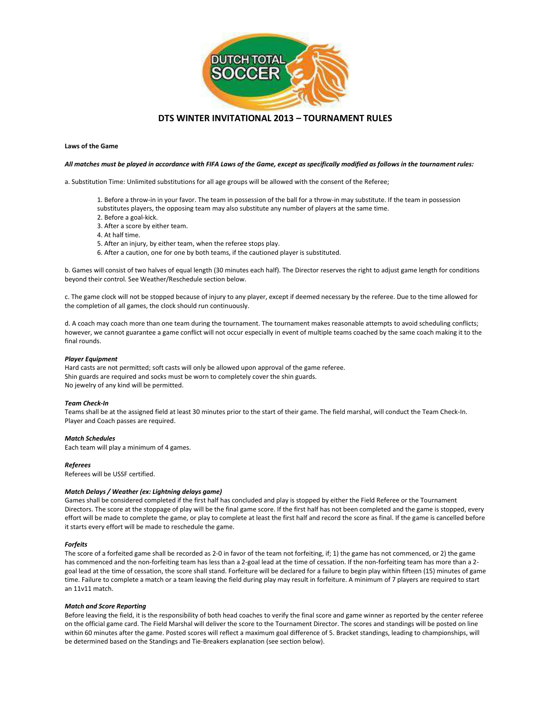

# **DTS WINTER INVITATIONAL 2013 – TOURNAMENT RULES**

# **Laws of the Game**

# *All matches must be played in accordance with FIFA Laws of the Game, except as specifically modified as follows in the tournament rules:*

a. Substitution Time: Unlimited substitutions for all age groups will be allowed with the consent of the Referee;

- 1. Before a throw-in in your favor. The team in possession of the ball for a throw-in may substitute. If the team in possession
- substitutes players, the opposing team may also substitute any number of players at the same time.
- 2. Before a goal-kick.
- 3. After a score by either team.
- 4. At half time.
- 5. After an injury, by either team, when the referee stops play.
- 6. After a caution, one for one by both teams, if the cautioned player is substituted.

b. Games will consist of two halves of equal length (30 minutes each half). The Director reserves the right to adjust game length for conditions beyond their control. See Weather/Reschedule section below.

c. The game clock will not be stopped because of injury to any player, except if deemed necessary by the referee. Due to the time allowed for the completion of all games, the clock should run continuously.

d. A coach may coach more than one team during the tournament. The tournament makes reasonable attempts to avoid scheduling conflicts; however, we cannot guarantee a game conflict will not occur especially in event of multiple teams coached by the same coach making it to the final rounds.

#### *Player Equipment*

Hard casts are not permitted; soft casts will only be allowed upon approval of the game referee. Shin guards are required and socks must be worn to completely cover the shin guards. No jewelry of any kind will be permitted.

#### *Team Check-In*

Teams shall be at the assigned field at least 30 minutes prior to the start of their game. The field marshal, will conduct the Team Check-In. Player and Coach passes are required.

#### *Match Schedules*

Each team will play a minimum of 4 games.

# *Referees*

Referees will be USSF certified.

# *Match Delays / Weather (ex: Lightning delays game)*

Games shall be considered completed if the first half has concluded and play is stopped by either the Field Referee or the Tournament Directors. The score at the stoppage of play will be the final game score. If the first half has not been completed and the game is stopped, every effort will be made to complete the game, or play to complete at least the first half and record the score as final. If the game is cancelled before it starts every effort will be made to reschedule the game.

#### *Forfeits*

The score of a forfeited game shall be recorded as 2-0 in favor of the team not forfeiting, if; 1) the game has not commenced, or 2) the game has commenced and the non-forfeiting team has less than a 2-goal lead at the time of cessation. If the non-forfeiting team has more than a 2 goal lead at the time of cessation, the score shall stand. Forfeiture will be declared for a failure to begin play within fifteen (15) minutes of game time. Failure to complete a match or a team leaving the field during play may result in forfeiture. A minimum of 7 players are required to start an 11v11 match.

#### *Match and Score Reporting*

Before leaving the field, it is the responsibility of both head coaches to verify the final score and game winner as reported by the center referee on the official game card. The Field Marshal will deliver the score to the Tournament Director. The scores and standings will be posted on line within 60 minutes after the game. Posted scores will reflect a maximum goal difference of 5. Bracket standings, leading to championships, will be determined based on the Standings and Tie-Breakers explanation (see section below).